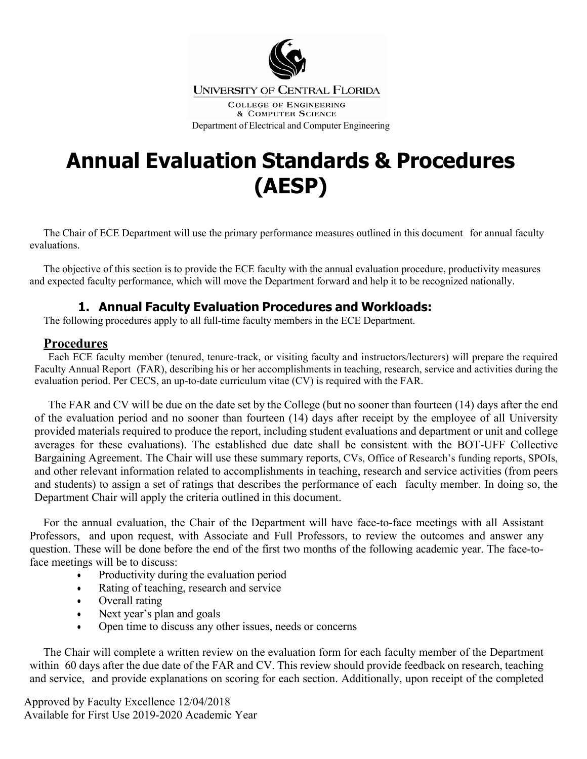

**COLLEGE OF ENGINEERING** & COMPUTER SCIENCE Department of Electrical and Computer Engineering

# **Annual Evaluation Standards & Procedures (AESP)**

The Chair of ECE Department will use the primary performance measures outlined in this document for annual faculty evaluations.

The objective of this section is to provide the ECE faculty with the annual evaluation procedure, productivity measures and expected faculty performance, which will move the Department forward and help it to be recognized nationally.

## **1. Annual Faculty Evaluation Procedures and Workloads:**

The following procedures apply to all full-time faculty members in the ECE Department.

## **Procedures**

Each ECE faculty member (tenured, tenure-track, or visiting faculty and instructors/lecturers) will prepare the required Faculty Annual Report (FAR), describing his or her accomplishments in teaching, research, service and activities during the evaluation period. Per CECS, an up-to-date curriculum vitae (CV) is required with the FAR.

The FAR and CV will be due on the date set by the College (but no sooner than fourteen (14) days after the end of the evaluation period and no sooner than fourteen (14) days after receipt by the employee of all University provided materials required to produce the report, including student evaluations and department or unit and college averages for these evaluations). The established due date shall be consistent with the BOT-UFF Collective Bargaining Agreement. The Chair will use these summary reports, CVs, Office of Research's funding reports, SPOIs, and other relevant information related to accomplishments in teaching, research and service activities (from peers and students) to assign a set of ratings that describes the performance of each faculty member. In doing so, the Department Chair will apply the criteria outlined in this document.

For the annual evaluation, the Chair of the Department will have face-to-face meetings with all Assistant Professors, and upon request, with Associate and Full Professors, to review the outcomes and answer any question. These will be done before the end of the first two months of the following academic year. The face-toface meetings will be to discuss:

- Productivity during the evaluation period
- Rating of teaching, research and service
- Overall rating
- Next year's plan and goals
- Open time to discuss any other issues, needs or concerns

The Chair will complete a written review on the evaluation form for each faculty member of the Department within 60 days after the due date of the FAR and CV. This review should provide feedback on research, teaching and service, and provide explanations on scoring for each section. Additionally, upon receipt of the completed

Approved by Faculty Excellence 12/04/2018 Available for First Use 2019-2020 Academic Year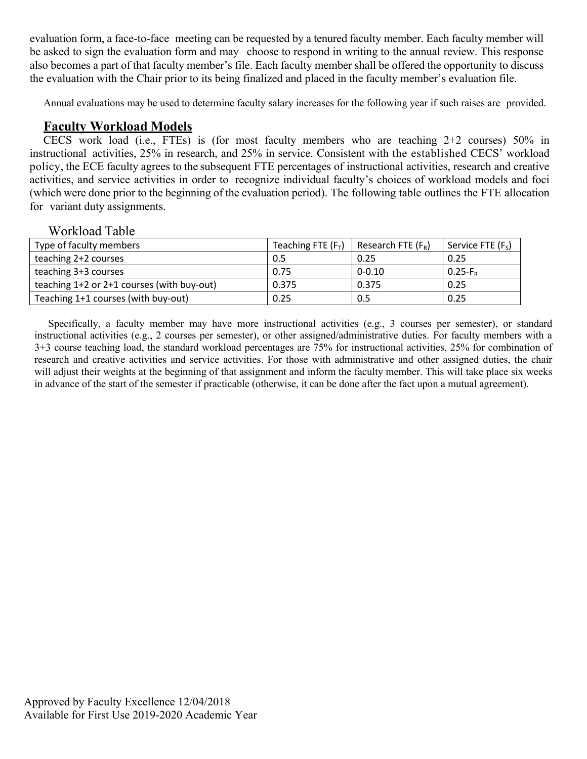evaluation form, a face-to-face meeting can be requested by a tenured faculty member. Each faculty member will be asked to sign the evaluation form and may choose to respond in writing to the annual review. This response also becomes a part of that faculty member's file. Each faculty member shall be offered the opportunity to discuss the evaluation with the Chair prior to its being finalized and placed in the faculty member's evaluation file.

Annual evaluations may be used to determine faculty salary increases for the following year if such raises are provided.

### **Faculty Workload Models**

CECS work load (i.e., FTEs) is (for most faculty members who are teaching 2+2 courses) 50% in instructional activities, 25% in research, and 25% in service. Consistent with the established CECS' workload policy, the ECE faculty agrees to the subsequent FTE percentages of instructional activities, research and creative activities, and service activities in order to recognize individual faculty's choices of workload models and foci (which were done prior to the beginning of the evaluation period). The following table outlines the FTE allocation for variant duty assignments.

#### Workload Table

| Type of faculty members                    | Teaching FTE $(F_T)$ | Research FTE $(F_R)$ | Service FTE $(F_s)$ |
|--------------------------------------------|----------------------|----------------------|---------------------|
| teaching 2+2 courses                       | 0.5                  | 0.25                 | 0.25                |
| teaching 3+3 courses                       | 0.75                 | $0 - 0.10$           | $0.25-F_R$          |
| teaching 1+2 or 2+1 courses (with buy-out) | 0.375                | 0.375                | 0.25                |
| Teaching 1+1 courses (with buy-out)        | 0.25                 | 0.5                  | 0.25                |

Specifically, a faculty member may have more instructional activities (e.g., 3 courses per semester), or standard instructional activities (e.g., 2 courses per semester), or other assigned/administrative duties. For faculty members with a 3+3 course teaching load, the standard workload percentages are 75% for instructional activities, 25% for combination of research and creative activities and service activities. For those with administrative and other assigned duties, the chair will adjust their weights at the beginning of that assignment and inform the faculty member. This will take place six weeks in advance of the start of the semester if practicable (otherwise, it can be done after the fact upon a mutual agreement).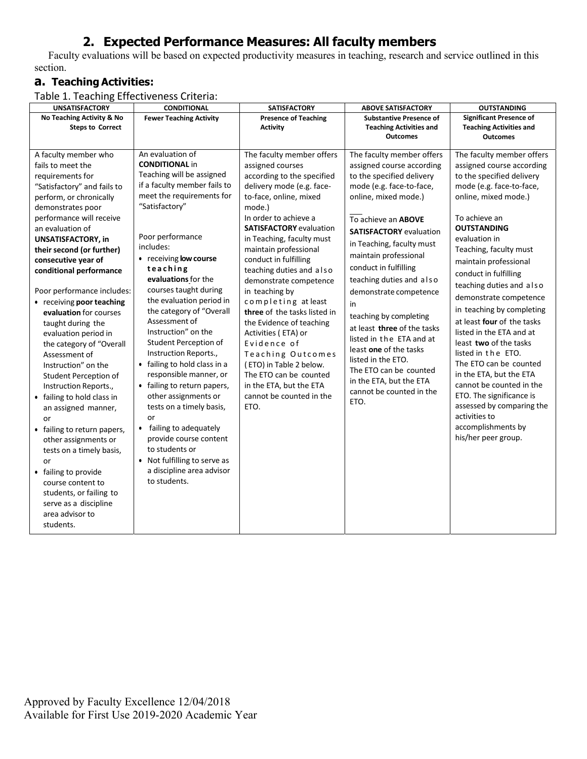# **2. Expected Performance Measures: All faculty members**

Faculty evaluations will be based on expected productivity measures in teaching, research and service outlined in this section.

## **a. Teaching Activities:**

Table 1. Teaching Effectiveness Criteria: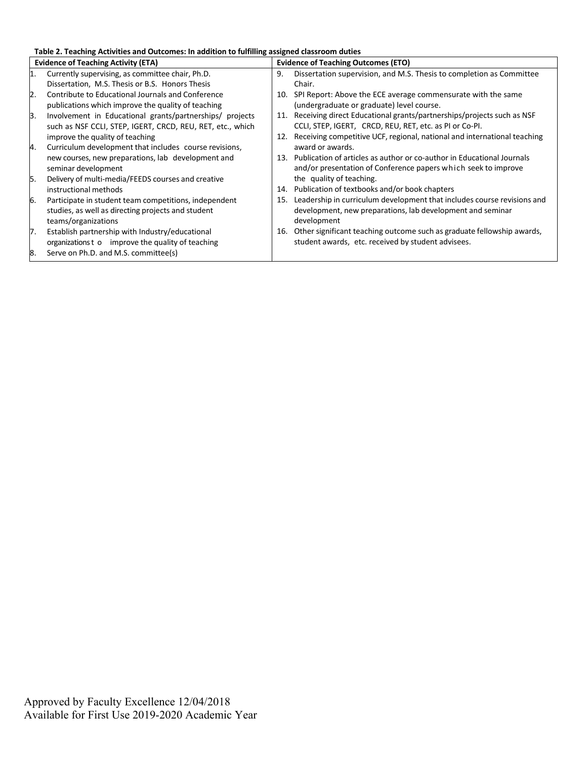**Table 2. Teaching Activities and Outcomes: In addition to fulfilling assigned classroom duties** 

|     | <b>Evidence of Teaching Activity (ETA)</b>                 | <b>Evidence of Teaching Outcomes (ETO)</b> |                                                                          |
|-----|------------------------------------------------------------|--------------------------------------------|--------------------------------------------------------------------------|
| I1. | Currently supervising, as committee chair, Ph.D.           | 9.                                         | Dissertation supervision, and M.S. Thesis to completion as Committee     |
|     | Dissertation, M.S. Thesis or B.S. Honors Thesis            |                                            | Chair.                                                                   |
| 2.  | Contribute to Educational Journals and Conference          | 10.                                        | SPI Report: Above the ECE average commensurate with the same             |
|     | publications which improve the quality of teaching         |                                            | (undergraduate or graduate) level course.                                |
| 3.  | Involvement in Educational grants/partnerships/ projects   | 11.                                        | Receiving direct Educational grants/partnerships/projects such as NSF    |
|     | such as NSF CCLI, STEP, IGERT, CRCD, REU, RET, etc., which |                                            | CCLI, STEP, IGERT, CRCD, REU, RET, etc. as PI or Co-PI.                  |
|     | improve the quality of teaching                            | 12.                                        | Receiving competitive UCF, regional, national and international teaching |
| 4.  | Curriculum development that includes course revisions,     |                                            | award or awards.                                                         |
|     | new courses, new preparations, lab development and         | 13.                                        | Publication of articles as author or co-author in Educational Journals   |
|     | seminar development                                        |                                            | and/or presentation of Conference papers which seek to improve           |
| 5.  | Delivery of multi-media/FEEDS courses and creative         |                                            | the quality of teaching.                                                 |
|     | instructional methods                                      | 14.                                        | Publication of textbooks and/or book chapters                            |
| 6.  | Participate in student team competitions, independent      | 15.                                        | Leadership in curriculum development that includes course revisions and  |
|     | studies, as well as directing projects and student         |                                            | development, new preparations, lab development and seminar               |
|     | teams/organizations                                        |                                            | development                                                              |
| 7.  | Establish partnership with Industry/educational            | 16.                                        | Other significant teaching outcome such as graduate fellowship awards,   |
|     | organizations to improve the quality of teaching           |                                            | student awards, etc. received by student advisees.                       |
| 8.  | Serve on Ph.D. and M.S. committee(s)                       |                                            |                                                                          |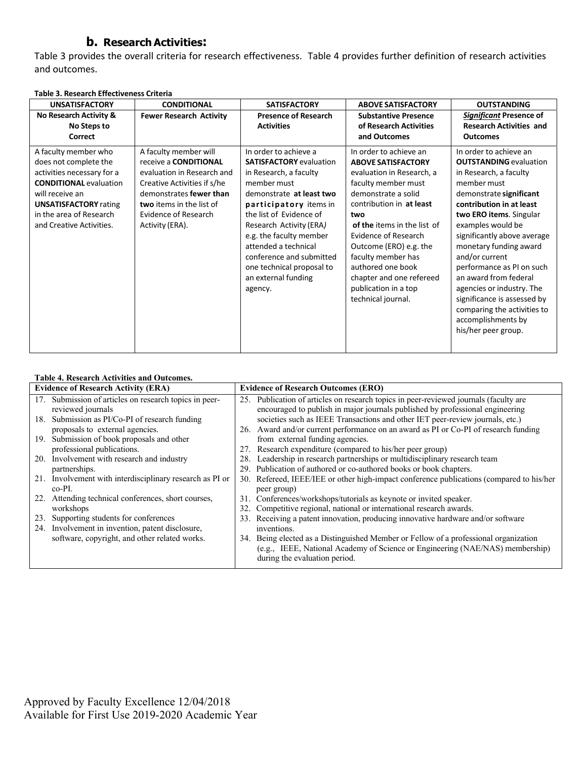#### **b. Research Activities:**

Table 3 provides the overall criteria for research effectiveness. Table 4 provides further definition of research activities and outcomes.

| <b>UNSATISFACTORY</b>                                                                                                                                                                                                  | <b>CONDITIONAL</b>                                                                                                                                                                                                          | <b>SATISFACTORY</b>                                                                                                                                                                                                                                                                                                                                        | <b>ABOVE SATISFACTORY</b>                                                                                                                                                                                                                                                                                                                                                      | <b>OUTSTANDING</b>                                                                                                                                                                                                                                                                                                                                                                                                                                                               |
|------------------------------------------------------------------------------------------------------------------------------------------------------------------------------------------------------------------------|-----------------------------------------------------------------------------------------------------------------------------------------------------------------------------------------------------------------------------|------------------------------------------------------------------------------------------------------------------------------------------------------------------------------------------------------------------------------------------------------------------------------------------------------------------------------------------------------------|--------------------------------------------------------------------------------------------------------------------------------------------------------------------------------------------------------------------------------------------------------------------------------------------------------------------------------------------------------------------------------|----------------------------------------------------------------------------------------------------------------------------------------------------------------------------------------------------------------------------------------------------------------------------------------------------------------------------------------------------------------------------------------------------------------------------------------------------------------------------------|
| No Research Activity &                                                                                                                                                                                                 | <b>Fewer Research Activity</b>                                                                                                                                                                                              | <b>Presence of Research</b>                                                                                                                                                                                                                                                                                                                                | <b>Substantive Presence</b>                                                                                                                                                                                                                                                                                                                                                    | Significant Presence of                                                                                                                                                                                                                                                                                                                                                                                                                                                          |
| No Steps to                                                                                                                                                                                                            |                                                                                                                                                                                                                             | <b>Activities</b>                                                                                                                                                                                                                                                                                                                                          | of Research Activities                                                                                                                                                                                                                                                                                                                                                         | <b>Research Activities and</b>                                                                                                                                                                                                                                                                                                                                                                                                                                                   |
| Correct                                                                                                                                                                                                                |                                                                                                                                                                                                                             |                                                                                                                                                                                                                                                                                                                                                            | and Outcomes                                                                                                                                                                                                                                                                                                                                                                   | <b>Outcomes</b>                                                                                                                                                                                                                                                                                                                                                                                                                                                                  |
| A faculty member who<br>does not complete the<br>activities necessary for a<br><b>CONDITIONAL evaluation</b><br>will receive an<br><b>UNSATISFACTORY rating</b><br>in the area of Research<br>and Creative Activities. | A faculty member will<br>receive a <b>CONDITIONAL</b><br>evaluation in Research and<br>Creative Activities if s/he<br>demonstrates fewer than<br>two items in the list of<br><b>Evidence of Research</b><br>Activity (ERA). | In order to achieve a<br><b>SATISFACTORY</b> evaluation<br>in Research, a faculty<br>member must<br>demonstrate at least two<br>participatory items in<br>the list of Evidence of<br>Research Activity (ERA)<br>e.g. the faculty member<br>attended a technical<br>conference and submitted<br>one technical proposal to<br>an external funding<br>agency. | In order to achieve an<br><b>ABOVE SATISFACTORY</b><br>evaluation in Research, a<br>faculty member must<br>demonstrate a solid<br>contribution in at least<br>two<br>of the items in the list of<br><b>Evidence of Research</b><br>Outcome (ERO) e.g. the<br>faculty member has<br>authored one book<br>chapter and one refereed<br>publication in a top<br>technical journal. | In order to achieve an<br><b>OUTSTANDING</b> evaluation<br>in Research, a faculty<br>member must<br>demonstrate significant<br>contribution in at least<br>two ERO items. Singular<br>examples would be<br>significantly above average<br>monetary funding award<br>and/or current<br>performance as PI on such<br>an award from federal<br>agencies or industry. The<br>significance is assessed by<br>comparing the activities to<br>accomplishments by<br>his/her peer group. |

#### **Table 3. Research Effectiveness Criteria**

#### **Table 4. Research Activities and Outcomes.**

|     | <b>Evidence of Research Activity (ERA)</b>               |     | <b>Evidence of Research Outcomes (ERO)</b>                                               |
|-----|----------------------------------------------------------|-----|------------------------------------------------------------------------------------------|
|     | 17. Submission of articles on research topics in peer-   |     | 25. Publication of articles on research topics in peer-reviewed journals (faculty are    |
|     | reviewed journals                                        |     | encouraged to publish in major journals published by professional engineering            |
|     | 18. Submission as PI/Co-PI of research funding           |     | societies such as IEEE Transactions and other IET peer-review journals, etc.)            |
|     | proposals to external agencies.                          |     | 26. Award and/or current performance on an award as PI or Co-PI of research funding      |
| 19. | Submission of book proposals and other                   |     | from external funding agencies.                                                          |
|     | professional publications.                               |     | 27. Research expenditure (compared to his/her peer group)                                |
|     | 20. Involvement with research and industry               | 28. | Leadership in research partnerships or multidisciplinary research team                   |
|     | partnerships.                                            |     | 29. Publication of authored or co-authored books or book chapters.                       |
|     | 21. Involvement with interdisciplinary research as PI or |     | 30. Refereed, IEEE/IEE or other high-impact conference publications (compared to his/her |
|     | $co-PI.$                                                 |     | peer group)                                                                              |
| 22. | Attending technical conferences, short courses,          |     | 31. Conferences/workshops/tutorials as keynote or invited speaker.                       |
|     | workshops                                                |     | 32. Competitive regional, national or international research awards.                     |
| 23. | Supporting students for conferences                      |     | 33. Receiving a patent innovation, producing innovative hardware and/or software         |
|     | 24. Involvement in invention, patent disclosure,         |     | inventions.                                                                              |
|     | software, copyright, and other related works.            | 34. | Being elected as a Distinguished Member or Fellow of a professional organization         |
|     |                                                          |     | (e.g., IEEE, National Academy of Science or Engineering (NAE/NAS) membership)            |
|     |                                                          |     | during the evaluation period.                                                            |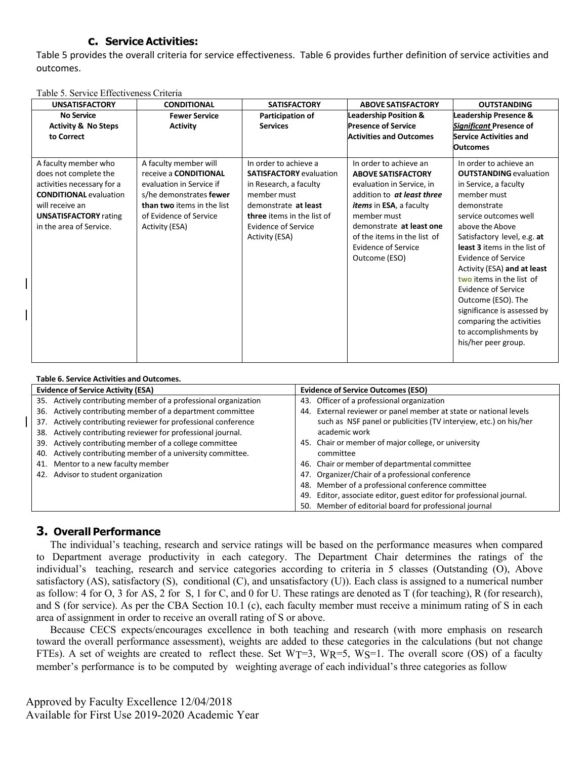#### **c. Service Activities:**

Table 5 provides the overall criteria for service effectiveness. Table 6 provides further definition of service activities and outcomes.

|  | Table 5. Service Effectiveness Criteria |  |
|--|-----------------------------------------|--|
|  |                                         |  |

| <b>UNSATISFACTORY</b>                                                                                                                                                                      | <b>CONDITIONAL</b>                                                                                                                                                                     | <b>SATISFACTORY</b>                                                                                                                                                                                    | <b>ABOVE SATISFACTORY</b>                                                                                                                                                                                                                                          | <b>OUTSTANDING</b>                                                                                                                                                                                                                                                                                                                                                                                                                                                         |
|--------------------------------------------------------------------------------------------------------------------------------------------------------------------------------------------|----------------------------------------------------------------------------------------------------------------------------------------------------------------------------------------|--------------------------------------------------------------------------------------------------------------------------------------------------------------------------------------------------------|--------------------------------------------------------------------------------------------------------------------------------------------------------------------------------------------------------------------------------------------------------------------|----------------------------------------------------------------------------------------------------------------------------------------------------------------------------------------------------------------------------------------------------------------------------------------------------------------------------------------------------------------------------------------------------------------------------------------------------------------------------|
| <b>No Service</b>                                                                                                                                                                          | <b>Fewer Service</b>                                                                                                                                                                   | Participation of                                                                                                                                                                                       | <b>Leadership Position &amp;</b>                                                                                                                                                                                                                                   | <b>Leadership Presence &amp;</b>                                                                                                                                                                                                                                                                                                                                                                                                                                           |
| <b>Activity &amp; No Steps</b><br>to Correct                                                                                                                                               | <b>Activity</b>                                                                                                                                                                        | <b>Services</b>                                                                                                                                                                                        | <b>Presence of Service</b><br><b>Activities and Outcomes</b>                                                                                                                                                                                                       | Significant Presence of<br><b>Service Activities and</b>                                                                                                                                                                                                                                                                                                                                                                                                                   |
|                                                                                                                                                                                            |                                                                                                                                                                                        |                                                                                                                                                                                                        |                                                                                                                                                                                                                                                                    | <b>Outcomes</b>                                                                                                                                                                                                                                                                                                                                                                                                                                                            |
| A faculty member who<br>does not complete the<br>activities necessary for a<br><b>CONDITIONAL evaluation</b><br>will receive an<br><b>UNSATISFACTORY</b> rating<br>in the area of Service. | A faculty member will<br>receive a <b>CONDITIONAL</b><br>evaluation in Service if<br>s/he demonstrates fewer<br>than two items in the list<br>of Evidence of Service<br>Activity (ESA) | In order to achieve a<br><b>SATISFACTORY</b> evaluation<br>in Research, a faculty<br>member must<br>demonstrate at least<br>three items in the list of<br><b>Evidence of Service</b><br>Activity (ESA) | In order to achieve an<br><b>ABOVE SATISFACTORY</b><br>evaluation in Service, in<br>addition to at least three<br><i>items</i> in ESA, a faculty<br>member must<br>demonstrate at least one<br>of the items in the list of<br>Evidence of Service<br>Outcome (ESO) | In order to achieve an<br><b>OUTSTANDING</b> evaluation<br>in Service, a faculty<br>member must<br>demonstrate<br>service outcomes well<br>above the Above<br>Satisfactory level, e.g. at<br>least 3 items in the list of<br>Evidence of Service<br>Activity (ESA) and at least<br>two items in the list of<br><b>Evidence of Service</b><br>Outcome (ESO). The<br>significance is assessed by<br>comparing the activities<br>to accomplishments by<br>his/her peer group. |

| Table 6. Service Activities and Outcomes. |  |  |
|-------------------------------------------|--|--|
|-------------------------------------------|--|--|

 $\mathbf l$ 

|     | <b>Evidence of Service Activity (ESA)</b>                       |     | <b>Evidence of Service Outcomes (ESO)</b>                        |
|-----|-----------------------------------------------------------------|-----|------------------------------------------------------------------|
|     | 35. Actively contributing member of a professional organization |     | 43. Officer of a professional organization                       |
|     | 36. Actively contributing member of a department committee      | 44. | External reviewer or panel member at state or national levels    |
| 37. | Actively contributing reviewer for professional conference      |     | such as NSF panel or publicities (TV interview, etc.) on his/her |
| 38. | Actively contributing reviewer for professional journal.        |     | academic work                                                    |
|     | 39. Actively contributing member of a college committee         |     | 45. Chair or member of major college, or university              |
| 40. | Actively contributing member of a university committee.         |     | committee                                                        |
|     | 41. Mentor to a new faculty member                              |     | 46. Chair or member of departmental committee                    |
|     | 42. Advisor to student organization                             |     | 47. Organizer/Chair of a professional conference                 |
|     |                                                                 | 48. | Member of a professional conference committee                    |
|     |                                                                 | 49. | Editor, associate editor, guest editor for professional journal. |
|     |                                                                 |     | 50. Member of editorial board for professional journal           |

#### **3. Overall Performance**

The individual's teaching, research and service ratings will be based on the performance measures when compared to Department average productivity in each category. The Department Chair determines the ratings of the individual's teaching, research and service categories according to criteria in 5 classes (Outstanding (O), Above satisfactory (AS), satisfactory (S), conditional (C), and unsatisfactory (U)). Each class is assigned to a numerical number as follow: 4 for O, 3 for AS, 2 for S, 1 for C, and 0 for U. These ratings are denoted as T (for teaching), R (for research), and S (for service). As per the CBA Section 10.1 (c), each faculty member must receive a minimum rating of S in each area of assignment in order to receive an overall rating of S or above.

Because CECS expects/encourages excellence in both teaching and research (with more emphasis on research toward the overall performance assessment), weights are added to these categories in the calculations (but not change FTEs). A set of weights are created to reflect these. Set  $WT=3$ ,  $WR=5$ ,  $WS=1$ . The overall score (OS) of a faculty member's performance is to be computed by weighting average of each individual's three categories as follow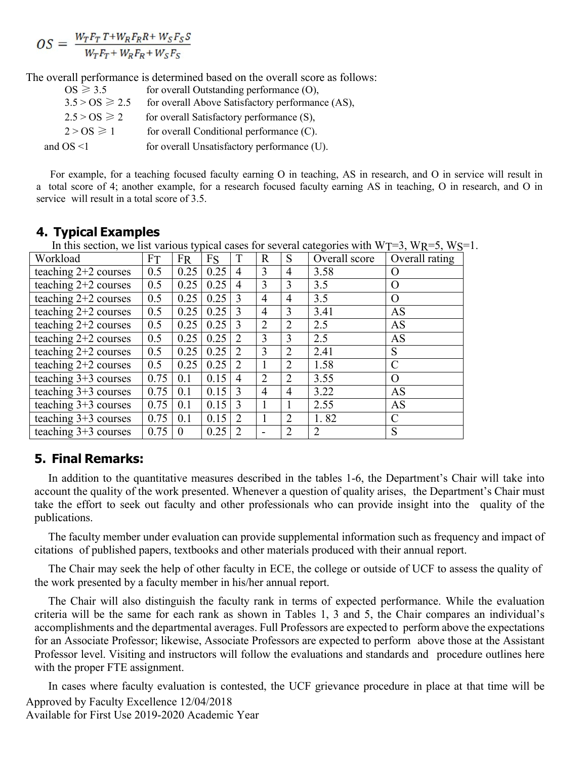$$
OS = \frac{W_T F_T T + W_R F_R R + W_S F_S S}{W_T F_T + W_R F_R + W_S F_S}
$$

The overall performance is determined based on the overall score as follows:

| $OS \geqslant 3.5$ | for overall Outstanding performance $(O)$ ,      |
|--------------------|--------------------------------------------------|
| $3.5 > OS \ge 2.5$ | for overall Above Satisfactory performance (AS), |
| $2.5 > OS \ge 2$   | for overall Satisfactory performance (S),        |
| $2 > OS \ge 1$     | for overall Conditional performance (C).         |
| and $OS < 1$       | for overall Unsatisfactory performance (U).      |

For example, for a teaching focused faculty earning O in teaching, AS in research, and O in service will result in a total score of 4; another example, for a research focused faculty earning AS in teaching, O in research, and O in service will result in a total score of 3.5.

| In this section, we list various typical cases for several categories with $WT=3$ , $WR=5$ , $WS=1$ . |           |           |      |                             |                |                |               |                |
|-------------------------------------------------------------------------------------------------------|-----------|-----------|------|-----------------------------|----------------|----------------|---------------|----------------|
| Workload                                                                                              | <b>FT</b> | <b>FR</b> | Fs   |                             | R              | S              | Overall score | Overall rating |
| teaching 2+2 courses                                                                                  | 0.5       | 0.25      | 0.25 | 4                           | 3              | 4              | 3.58          | O              |
| teaching $2+2$ courses                                                                                | 0.5       | 0.25      | 0.25 | $\overline{4}$              | 3              | 3              | 3.5           | O              |
| teaching $2+2$ courses                                                                                | 0.5       | 0.25      | 0.25 | $\mathcal{R}$               | 4              | 4              | 3.5           | O              |
| teaching $2+2$ courses                                                                                | 0.5       | 0.25      | 0.25 | $\mathcal{R}$               | 4              | 3              | 3.41          | AS             |
| teaching $2+2$ courses                                                                                | 0.5       | 0.25      | 0.25 | $\mathcal{E}$               | 2              | 2              | 2.5           | AS             |
| teaching $2+2$ courses                                                                                | 0.5       | 0.25      | 0.25 | $\mathcal{D}_{\mathcal{L}}$ | 3              | 3              | 2.5           | AS             |
| teaching $2+2$ courses                                                                                | 0.5       | 0.25      | 0.25 | $\mathcal{D}_{\mathcal{L}}$ | 3              | 2              | 2.41          | S              |
| teaching $2+2$ courses                                                                                | 0.5       | 0.25      | 0.25 | $\mathcal{L}$               |                | $\overline{2}$ | 1.58          | $\mathcal{C}$  |
| teaching $3+3$ courses                                                                                | 0.75      | 0.1       | 0.15 | $\overline{4}$              | 2              | $\overline{2}$ | 3.55          | O              |
| teaching $3+3$ courses                                                                                | 0.75      | 0.1       | 0.15 | 3                           | $\overline{4}$ | 4              | 3.22          | AS             |
| teaching $3+3$ courses                                                                                | 0.75      | 0.1       | 0.15 | $\mathcal{R}$               |                |                | 2.55          | AS             |
| teaching $3+3$ courses                                                                                | 0.75      | 0.1       | 0.15 | $\mathcal{L}$               |                | 2              | 1.82          | $\mathbf C$    |
| teaching $3+3$ courses                                                                                | 0.75      | $\Omega$  | 0.25 |                             |                | 2              | 2             | S              |

## **4. Typical Examples**

**5. Final Remarks:**

In addition to the quantitative measures described in the tables 1-6, the Department's Chair will take into account the quality of the work presented. Whenever a question of quality arises, the Department's Chair must take the effort to seek out faculty and other professionals who can provide insight into the quality of the publications.

The faculty member under evaluation can provide supplemental information such as frequency and impact of citations of published papers, textbooks and other materials produced with their annual report.

The Chair may seek the help of other faculty in ECE, the college or outside of UCF to assess the quality of the work presented by a faculty member in his/her annual report.

The Chair will also distinguish the faculty rank in terms of expected performance. While the evaluation criteria will be the same for each rank as shown in Tables 1, 3 and 5, the Chair compares an individual's accomplishments and the departmental averages. Full Professors are expected to perform above the expectations for an Associate Professor; likewise, Associate Professors are expected to perform above those at the Assistant Professor level. Visiting and instructors will follow the evaluations and standards and procedure outlines here with the proper FTE assignment.

Approved by Faculty Excellence 12/04/2018 Available for First Use 2019-2020 Academic Year In cases where faculty evaluation is contested, the UCF grievance procedure in place at that time will be